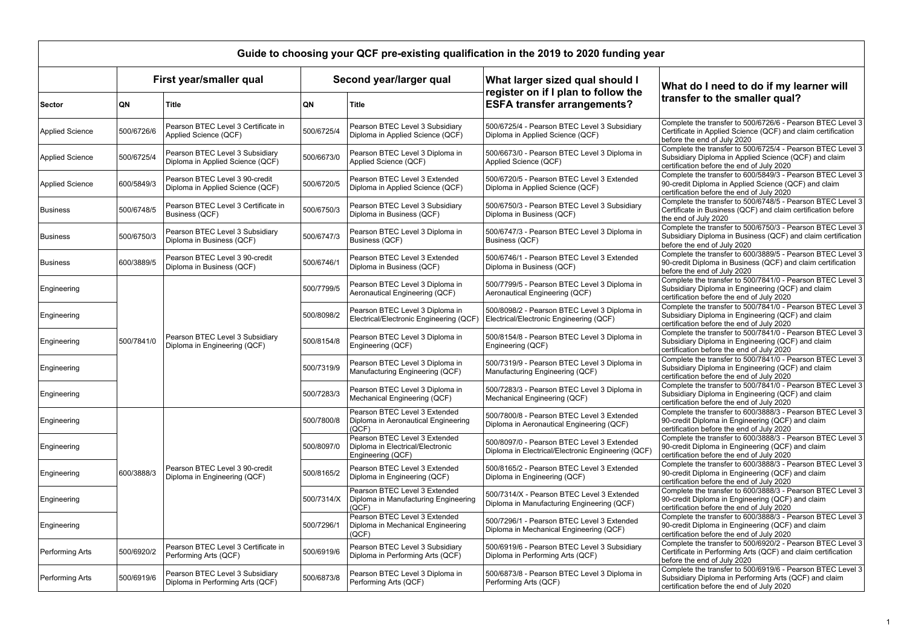## **What do I need to do if my learner will sfer to the smaller qual?**

lete the transfer to 500/6726/6 - Pearson BTEC Level 3 cate in Applied Science (QCF) and claim certification the end of July 2020

lete the transfer to 500/6725/4 - Pearson BTEC Level 3 diary Diploma in Applied Science (QCF) and claim cation before the end of July 2020

lete the transfer to 600/5849/3 - Pearson BTEC Level 3 dit Diploma in Applied Science (QCF) and claim cation before the end of July 2020

lete the transfer to 500/6748/5 - Pearson BTEC Level 3 cate in Business (QCF) and claim certification before d of July 2020

lete the transfer to 500/6750/3 - Pearson BTEC Level 3 diary Diploma in Business (QCF) and claim certification the end of July 2020

lete the transfer to 600/3889/5 - Pearson BTEC Level 3 dit Diploma in Business (QCF) and claim certification the end of July 2020

Lete the transfer to 500/7841/0 - Pearson BTEC Level 3 Jiary Diploma in Engineering (QCF) and claim

cation before the end of July 2020 lete the transfer to 500/7841/0 - Pearson BTEC Level 3 diary Diploma in Engineering (QCF) and claim

ation before the end of July 2020 lete the transfer to 500/7841/0 - Pearson BTEC Level 3 diary Diploma in Engineering (QCF) and claim

ation before the end of July 2020 lete the transfer to 500/7841/0 - Pearson BTEC Level 3 Jiary Diploma in Engineering (QCF) and claim

ation before the end of July 2020 lete the transfer to 500/7841/0 - Pearson BTEC Level 3 diary Diploma in Engineering (QCF) and claim

cation before the end of July 2020 lete the transfer to 600/3888/3 - Pearson BTEC Level 3 dit Diploma in Engineering (QCF) and claim ation before the end of July 2020

lete the transfer to 600/3888/3 - Pearson BTEC Level 3 dit Diploma in Engineering (QCF) and claim  $\sin$  before the end of July 2020.

lete the transfer to  $600/3888/3$  - Pearson BTEC Level 3 dit Diploma in Engineering (QCF) and claim ation before the end of July 2020

lete the transfer to  $600/3888/3$  - Pearson BTEC Level 3 dit Diploma in Engineering (QCF) and claim  $\sin$  before the end of July 2020. lete the transfer to  $600/3888/3$  - Pearson BTEC Level 3

dit Diploma in Engineering (QCF) and claim ation before the end of July 2020 lete the transfer to 500/6920/2 - Pearson BTEC Level 3

cate in Performing Arts (QCF) and claim certification the end of July  $2020$ lete the transfer to 500/6919/6 - Pearson BTEC Level 3

diary Diploma in Performing Arts (QCF) and claim ation before the end of July 2020

| Guide to choosing your QCF pre-existing qualification in the 2019 to 2020 funding year |                         |                                                                     |                         |                                                                                        |                                                                                                 |                               |  |  |
|----------------------------------------------------------------------------------------|-------------------------|---------------------------------------------------------------------|-------------------------|----------------------------------------------------------------------------------------|-------------------------------------------------------------------------------------------------|-------------------------------|--|--|
|                                                                                        | First year/smaller qual |                                                                     | Second year/larger qual |                                                                                        | What larger sized qual should I                                                                 | Wha                           |  |  |
| <b>Sector</b>                                                                          | QN                      | <b>Title</b>                                                        | QN                      | <b>Title</b>                                                                           | register on if I plan to follow the<br><b>ESFA transfer arrangements?</b>                       | trans                         |  |  |
| <b>Applied Science</b>                                                                 | 500/6726/6              | Pearson BTEC Level 3 Certificate in<br>Applied Science (QCF)        | 500/6725/4              | Pearson BTEC Level 3 Subsidiary<br>Diploma in Applied Science (QCF)                    | 500/6725/4 - Pearson BTEC Level 3 Subsidiary<br>Diploma in Applied Science (QCF)                | Comple<br>Certific<br>before  |  |  |
| <b>Applied Science</b>                                                                 | 500/6725/4              | Pearson BTEC Level 3 Subsidiary<br>Diploma in Applied Science (QCF) | 500/6673/0              | Pearson BTEC Level 3 Diploma in<br>Applied Science (QCF)                               | 500/6673/0 - Pearson BTEC Level 3 Diploma in<br>Applied Science (QCF)                           | Comple<br>Subsid<br>certifica |  |  |
| <b>Applied Science</b>                                                                 | 600/5849/3              | Pearson BTEC Level 3 90-credit<br>Diploma in Applied Science (QCF)  | 500/6720/5              | Pearson BTEC Level 3 Extended<br>Diploma in Applied Science (QCF)                      | 500/6720/5 - Pearson BTEC Level 3 Extended<br>Diploma in Applied Science (QCF)                  | Comple<br>90-cre<br>certifica |  |  |
| <b>Business</b>                                                                        | 500/6748/5              | Pearson BTEC Level 3 Certificate in<br>Business (QCF)               | 500/6750/3              | Pearson BTEC Level 3 Subsidiary<br>Diploma in Business (QCF)                           | 500/6750/3 - Pearson BTEC Level 3 Subsidiary<br>Diploma in Business (QCF)                       | Comple<br>Certific<br>the end |  |  |
| <b>Business</b>                                                                        | 500/6750/3              | Pearson BTEC Level 3 Subsidiary<br>Diploma in Business (QCF)        | 500/6747/3              | Pearson BTEC Level 3 Diploma in<br>Business (QCF)                                      | 500/6747/3 - Pearson BTEC Level 3 Diploma in<br>Business (QCF)                                  | Comple<br>Subsid<br>before    |  |  |
| <b>Business</b>                                                                        | 600/3889/5              | Pearson BTEC Level 3 90-credit<br>Diploma in Business (QCF)         | 500/6746/1              | Pearson BTEC Level 3 Extended<br>Diploma in Business (QCF)                             | 500/6746/1 - Pearson BTEC Level 3 Extended<br>Diploma in Business (QCF)                         | Comple<br>90-cre<br>before    |  |  |
| Engineering                                                                            |                         | Pearson BTEC Level 3 Subsidiary<br>Diploma in Engineering (QCF)     | 500/7799/5              | Pearson BTEC Level 3 Diploma in<br>Aeronautical Engineering (QCF)                      | 500/7799/5 - Pearson BTEC Level 3 Diploma in<br>Aeronautical Engineering (QCF)                  | Comple<br>Subsid<br>certifica |  |  |
| Engineering                                                                            |                         |                                                                     | 500/8098/2              | Pearson BTEC Level 3 Diploma in<br>Electrical/Electronic Engineering (QCF)             | 500/8098/2 - Pearson BTEC Level 3 Diploma in<br>Electrical/Electronic Engineering (QCF)         | Comple<br>Subsid<br>certifica |  |  |
| Engineering                                                                            | 500/7841/0              |                                                                     | 500/8154/8              | Pearson BTEC Level 3 Diploma in<br>Engineering (QCF)                                   | 500/8154/8 - Pearson BTEC Level 3 Diploma in<br>Engineering (QCF)                               | Comple<br>Subsid<br>certifica |  |  |
| Engineering                                                                            |                         |                                                                     | 500/7319/9              | Pearson BTEC Level 3 Diploma in<br>Manufacturing Engineering (QCF)                     | 500/7319/9 - Pearson BTEC Level 3 Diploma in<br>Manufacturing Engineering (QCF)                 | Comple<br>Subsid<br>certifica |  |  |
| Engineering                                                                            |                         |                                                                     | 500/7283/3              | Pearson BTEC Level 3 Diploma in<br>Mechanical Engineering (QCF)                        | 500/7283/3 - Pearson BTEC Level 3 Diploma in<br>Mechanical Engineering (QCF)                    | Compl<br>Subsid<br>certific   |  |  |
| Engineering                                                                            |                         | Pearson BTEC Level 3 90-credit<br>Diploma in Engineering (QCF)      | 500/7800/8              | Pearson BTEC Level 3 Extended<br>Diploma in Aeronautical Engineering<br>(QCF)          | 500/7800/8 - Pearson BTEC Level 3 Extended<br>Diploma in Aeronautical Engineering (QCF)         | Comple<br>90-cre<br>certifica |  |  |
| Engineering                                                                            | 600/3888/3              |                                                                     | 500/8097/0              | Pearson BTEC Level 3 Extended<br>Diploma in Electrical/Electronic<br>Engineering (QCF) | 500/8097/0 - Pearson BTEC Level 3 Extended<br>Diploma in Electrical/Electronic Engineering (QCF | Comple<br>90-cre<br>certifica |  |  |
| Engineering                                                                            |                         |                                                                     | 500/8165/2              | Pearson BTEC Level 3 Extended<br>Diploma in Engineering (QCF)                          | 500/8165/2 - Pearson BTEC Level 3 Extended<br>Diploma in Engineering (QCF)                      | Comple<br>90-cre<br>certific  |  |  |
| Engineering                                                                            |                         |                                                                     | 500/7314/X              | Pearson BTEC Level 3 Extended<br>Diploma in Manufacturing Engineering<br>(QCF)         | 500/7314/X - Pearson BTEC Level 3 Extended<br>Diploma in Manufacturing Engineering (QCF)        | Comple<br>90-cre<br>certific  |  |  |
| Engineering                                                                            |                         |                                                                     | 500/7296/1              | Pearson BTEC Level 3 Extended<br>Diploma in Mechanical Engineering<br>(QCF)            | 500/7296/1 - Pearson BTEC Level 3 Extended<br>Diploma in Mechanical Engineering (QCF)           | Comple<br>90-cre<br>certific  |  |  |
| Performing Arts                                                                        | 500/6920/2              | Pearson BTEC Level 3 Certificate in<br>Performing Arts (QCF)        | 500/6919/6              | Pearson BTEC Level 3 Subsidiary<br>Diploma in Performing Arts (QCF)                    | 500/6919/6 - Pearson BTEC Level 3 Subsidiary<br>Diploma in Performing Arts (QCF)                | Comple<br>Certific<br>before  |  |  |
| Performing Arts                                                                        | 500/6919/6              | Pearson BTEC Level 3 Subsidiary<br>Diploma in Performing Arts (QCF) | 500/6873/8              | Pearson BTEC Level 3 Diploma in<br>Performing Arts (QCF)                               | 500/6873/8 - Pearson BTEC Level 3 Diploma in<br>Performing Arts (QCF)                           | Comple<br>Subsid<br>certifica |  |  |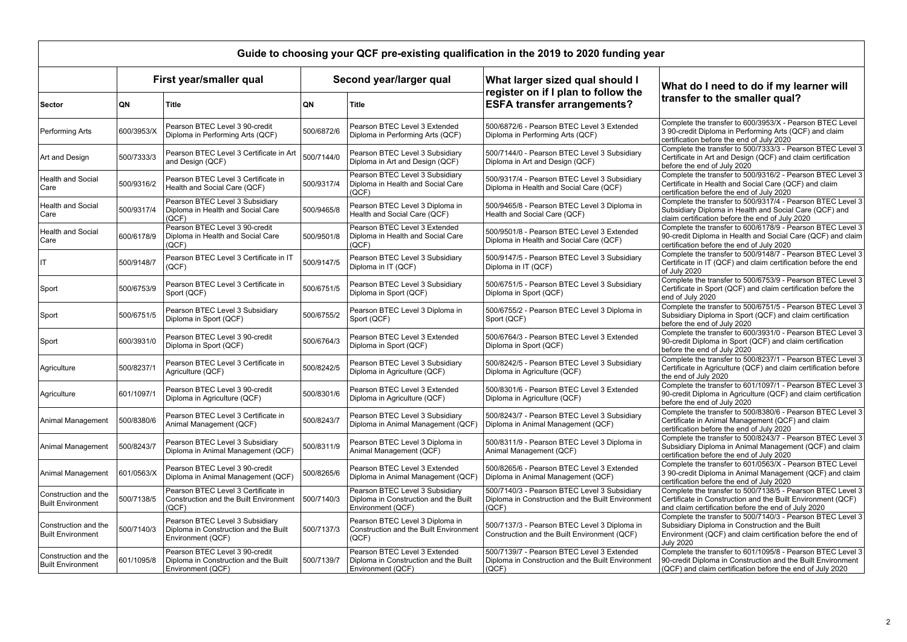## **What do I need to do if my learner will sfer to the smaller qual?**

Lete the transfer to  $600/3953/X$  - Pearson BTEC Level redit Diploma in Performing Arts (QCF) and claim cation before the end of July 2020

lete the transfer to  $500/7333/3$  - Pearson BTEC Level 3 cate in Art and Design (QCF) and claim certification the end of July 2020

lete the transfer to 500/9316/2 - Pearson BTEC Level 3 cate in Health and Social Care (QCF) and claim cation before the end of July 2020

lete the transfer to 500/9317/4 - Pearson BTEC Level 3 diary Diploma in Health and Social Care (QCF) and certification before the end of July 2020

lete the transfer to 600/6178/9 - Pearson BTEC Level 3 dit Diploma in Health and Social Care (QCF) and claim cation before the end of July 2020

lete the transfer to 500/9148/7 - Pearson BTEC Level 3 cate in IT (QCF) and claim certification before the end  $,2020$ 

Lete the transfer to  $500/6753/9$  - Pearson BTEC Level 3 cate in Sport (QCF) and claim certification before the July 2020

lete the transfer to 500/6751/5 - Pearson BTEC Level 3 diary Diploma in Sport (QCF) and claim certification the end of July 2020

lete the transfer to 600/3931/0 - Pearson BTEC Level 3 dit Diploma in Sport (QCF) and claim certification the end of July 2020

lete the transfer to 500/8237/1 - Pearson BTEC Level 3 cate in Agriculture (QCF) and claim certification before d of July 2020

lete the transfer to 601/1097/1 - Pearson BTEC Level 3 dit Diploma in Agriculture (QCF) and claim certification the end of July 2020

lete the transfer to 500/8380/6 - Pearson BTEC Level 3 cate in Animal Management (QCF) and claim cation before the end of July 2020

lete the transfer to 500/8243/7 - Pearson BTEC Level 3 diary Diploma in Animal Management (QCF) and claim  $c$ ation before the end of July 2020

Lete the transfer to  $601/0563/X$  - Pearson BTEC Level redit Diploma in Animal Management (QCF) and claim ation before the end of July 2020

lete the transfer to 500/7138/5 - Pearson BTEC Level 3 cate in Construction and the Built Environment (QCF) aim certification before the end of July 2020

lete the transfer to  $500/7140/3$  - Pearson BTEC Level 3 diary Diploma in Construction and the Built  $n$ ment (QCF) and claim certification before the end of

 $20<sub>20</sub>$ 

lete the transfer to  $601/1095/8$  - Pearson BTEC Level 3 dit Diploma in Construction and the Built Environment and claim certification before the end of July 2020

| Guide to choosing your QCF pre-existing qualification in the 2019 to 2020 funding year |                         |                                                                                               |                         |                                                                                               |                                                                                                            |                                        |  |  |
|----------------------------------------------------------------------------------------|-------------------------|-----------------------------------------------------------------------------------------------|-------------------------|-----------------------------------------------------------------------------------------------|------------------------------------------------------------------------------------------------------------|----------------------------------------|--|--|
| <b>Sector</b>                                                                          | First year/smaller qual |                                                                                               | Second year/larger qual |                                                                                               | What larger sized qual should I                                                                            | What                                   |  |  |
|                                                                                        | QN                      | <b>Title</b>                                                                                  | QN                      | <b>Title</b>                                                                                  | register on if I plan to follow the<br><b>ESFA transfer arrangements?</b>                                  | trans                                  |  |  |
| Performing Arts                                                                        | 600/3953/X              | Pearson BTEC Level 3 90-credit<br>Diploma in Performing Arts (QCF)                            | 500/6872/6              | Pearson BTEC Level 3 Extended<br>Diploma in Performing Arts (QCF)                             | 500/6872/6 - Pearson BTEC Level 3 Extended<br>Diploma in Performing Arts (QCF)                             | Comple<br>3 90-cr<br>certifica         |  |  |
| Art and Design                                                                         | 500/7333/3              | Pearson BTEC Level 3 Certificate in Art<br>and Design (QCF)                                   | 500/7144/0              | Pearson BTEC Level 3 Subsidiary<br>Diploma in Art and Design (QCF)                            | 500/7144/0 - Pearson BTEC Level 3 Subsidiary<br>Diploma in Art and Design (QCF)                            | Comple<br>Certific<br>before           |  |  |
| <b>Health and Social</b><br>Care                                                       | 500/9316/2              | Pearson BTEC Level 3 Certificate in<br>Health and Social Care (QCF)                           | 500/9317/4              | Pearson BTEC Level 3 Subsidiary<br>Diploma in Health and Social Care<br>(QCF)                 | 500/9317/4 - Pearson BTEC Level 3 Subsidiary<br>Diploma in Health and Social Care (QCF)                    | Comple<br>Certific<br>certifica        |  |  |
| <b>Health and Social</b><br>Care                                                       | 500/9317/4              | Pearson BTEC Level 3 Subsidiary<br>Diploma in Health and Social Care<br>(QCF)                 | 500/9465/8              | Pearson BTEC Level 3 Diploma in<br>Health and Social Care (QCF)                               | 500/9465/8 - Pearson BTEC Level 3 Diploma in<br>Health and Social Care (QCF)                               | Comple<br>Subsid<br>claim c            |  |  |
| <b>Health and Social</b><br>Care                                                       | 600/6178/9              | Pearson BTEC Level 3 90-credit<br>Diploma in Health and Social Care<br>(QCF)                  | 500/9501/8              | Pearson BTEC Level 3 Extended<br>Diploma in Health and Social Care<br>(QCF)                   | 500/9501/8 - Pearson BTEC Level 3 Extended<br>Diploma in Health and Social Care (QCF)                      | Comple<br>90-creo<br>certifica         |  |  |
| IТ                                                                                     | 500/9148/7              | Pearson BTEC Level 3 Certificate in IT<br>(QCF)                                               | 500/9147/5              | Pearson BTEC Level 3 Subsidiary<br>Diploma in IT (QCF)                                        | 500/9147/5 - Pearson BTEC Level 3 Subsidiary<br>Diploma in IT (QCF)                                        | Comple<br>Certific<br>of July          |  |  |
| Sport                                                                                  | 500/6753/9              | Pearson BTEC Level 3 Certificate in<br>Sport (QCF)                                            | 500/6751/5              | Pearson BTEC Level 3 Subsidiary<br>Diploma in Sport (QCF)                                     | 500/6751/5 - Pearson BTEC Level 3 Subsidiary<br>Diploma in Sport (QCF)                                     | Comple<br>Certific<br>end of           |  |  |
| Sport                                                                                  | 500/6751/5              | Pearson BTEC Level 3 Subsidiary<br>Diploma in Sport (QCF)                                     | 500/6755/2              | Pearson BTEC Level 3 Diploma in<br>Sport (QCF)                                                | 500/6755/2 - Pearson BTEC Level 3 Diploma in<br>Sport (QCF)                                                | Comple<br>Subsid<br>before             |  |  |
| Sport                                                                                  | 600/3931/0              | Pearson BTEC Level 3 90-credit<br>Diploma in Sport (QCF)                                      | 500/6764/3              | Pearson BTEC Level 3 Extended<br>Diploma in Sport (QCF)                                       | 500/6764/3 - Pearson BTEC Level 3 Extended<br>Diploma in Sport (QCF)                                       | Comple<br>90-creo<br>before            |  |  |
| <b>Agriculture</b>                                                                     | 500/8237/1              | Pearson BTEC Level 3 Certificate in<br>Agriculture (QCF)                                      | 500/8242/5              | Pearson BTEC Level 3 Subsidiary<br>Diploma in Agriculture (QCF)                               | 500/8242/5 - Pearson BTEC Level 3 Subsidiary<br>Diploma in Agriculture (QCF)                               | Comple<br>Certific<br>the end          |  |  |
| Agriculture                                                                            | 601/1097/1              | Pearson BTEC Level 3 90-credit<br>Diploma in Agriculture (QCF)                                | 500/8301/6              | Pearson BTEC Level 3 Extended<br>Diploma in Agriculture (QCF)                                 | 500/8301/6 - Pearson BTEC Level 3 Extended<br>Diploma in Agriculture (QCF)                                 | Comple<br>90-creo<br>before            |  |  |
| Animal Management                                                                      | 500/8380/6              | Pearson BTEC Level 3 Certificate in<br>Animal Management (QCF)                                | 500/8243/7              | Pearson BTEC Level 3 Subsidiary<br>Diploma in Animal Management (QCF)                         | 500/8243/7 - Pearson BTEC Level 3 Subsidiary<br>Diploma in Animal Management (QCF)                         | Comple<br>Certific<br>certifica        |  |  |
| Animal Management                                                                      | 500/8243/7              | Pearson BTEC Level 3 Subsidiary<br>Diploma in Animal Management (QCF)                         | 500/8311/9              | Pearson BTEC Level 3 Diploma in<br>Animal Management (QCF)                                    | 500/8311/9 - Pearson BTEC Level 3 Diploma in<br>Animal Management (QCF)                                    | Comple<br>Subsid<br>certifica          |  |  |
| Animal Management                                                                      | 601/0563/X              | Pearson BTEC Level 3 90-credit<br>Diploma in Animal Management (QCF)                          | 500/8265/6              | Pearson BTEC Level 3 Extended<br>Diploma in Animal Management (QCF)                           | 500/8265/6 - Pearson BTEC Level 3 Extended<br>Diploma in Animal Management (QCF)                           | Comple<br>3 90-cr<br>certifica         |  |  |
| Construction and the<br><b>Built Environment</b>                                       | 500/7138/5              | Pearson BTEC Level 3 Certificate in<br>Construction and the Built Environment<br>(QCF)        | 500/7140/3              | Pearson BTEC Level 3 Subsidiary<br>Diploma in Construction and the Built<br>Environment (QCF) | 500/7140/3 - Pearson BTEC Level 3 Subsidiary<br>Diploma in Construction and the Built Environment<br>(QCF) | Comple<br>Certific<br>and cla          |  |  |
| Construction and the<br><b>Built Environment</b>                                       | 500/7140/3              | Pearson BTEC Level 3 Subsidiary<br>Diploma in Construction and the Built<br>Environment (QCF) | 500/7137/3              | Pearson BTEC Level 3 Diploma in<br><b>Construction and the Built Environment</b><br>(QCF)     | 500/7137/3 - Pearson BTEC Level 3 Diploma in<br>Construction and the Built Environment (QCF)               | Comple<br>Subsid<br>Enviror<br>July 20 |  |  |
| Construction and the<br><b>Built Environment</b>                                       | 601/1095/8              | Pearson BTEC Level 3 90-credit<br>Diploma in Construction and the Built<br>Environment (QCF)  | 500/7139/7              | Pearson BTEC Level 3 Extended<br>Diploma in Construction and the Built<br>Environment (QCF)   | 500/7139/7 - Pearson BTEC Level 3 Extended<br>Diploma in Construction and the Built Environment<br>  (QCF) | Comple<br>90-cred<br>(QCF)             |  |  |